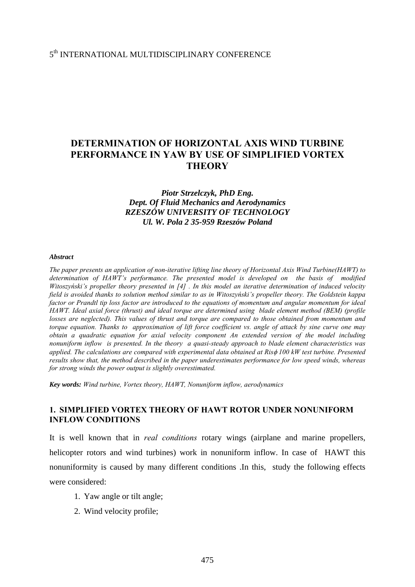# 5th INTERNATIONAL MULTIDISCIPLINARY CONFERENCE

# **DETERMINATION OF HORIZONTAL AXIS WIND TURBINE PERFORMANCE IN YAW BY USE OF SIMPLIFIED VORTEX THEORY**

# *Piotr Strzelczyk, PhD Eng. Dept. Of Fluid Mechanics and Aerodynamics RZESZÓW UNIVERSITY OF TECHNOLOGY Ul. W. Pola 2 35-959 Rzeszów Poland*

#### *Abstract*

*The paper presents an application of non-iterative lifting line theory of Horizontal Axis Wind Turbine(HAWT) to determination of HAWT's performance. The presented model is developed on the basis of modified Witoszyński's propeller theory presented in [4] . In this model an iterative determination of induced velocity field is avoided thanks to solution method similar to as in Witoszyński's propeller theory. The Goldstein kappa factor or Prandtl tip loss factor are introduced to the equations of momentum and angular momentum for ideal HAWT. Ideal axial force (thrust) and ideal torque are determined using blade element method (BEM) (profile losses are neglected). This values of thrust and torque are compared to those obtained from momentum and torque equation. Thanks to approximation of lift force coefficient vs. angle of attack by sine curve one may obtain a quadratic equation for axial velocity component An extended version of the model including nonuniform inflow is presented. In the theory a quasi-steady approach to blade element characteristics was applied. The calculations are compared with experimental data obtained at Ris*φ *100 kW test turbine. Presented results show that, the method described in the paper underestimates performance for low speed winds, whereas for strong winds the power output is slightly overestimated.* 

*Key words: Wind turbine, Vortex theory, HAWT, Nonuniform inflow, aerodynamics* 

## **1. SIMPLIFIED VORTEX THEORY OF HAWT ROTOR UNDER NONUNIFORM INFLOW CONDITIONS**

It is well known that in *real conditions* rotary wings (airplane and marine propellers, helicopter rotors and wind turbines) work in nonuniform inflow. In case of HAWT this nonuniformity is caused by many different conditions .In this, study the following effects were considered:

- 1. Yaw angle or tilt angle;
- 2. Wind velocity profile;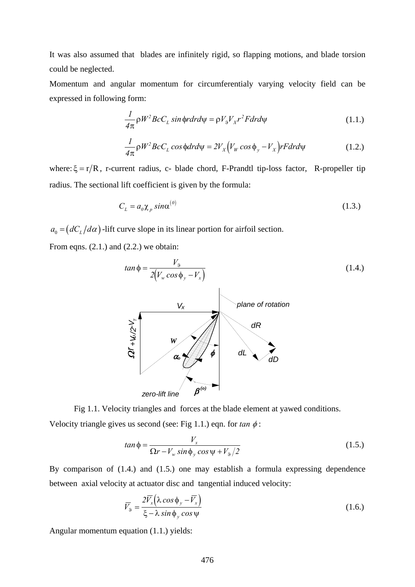It was also assumed that blades are infinitely rigid, so flapping motions, and blade torsion could be neglected.

Momentum and angular momentum for circumferentialy varying velocity field can be expressed in following form:

$$
\frac{1}{4\pi}\rho W^2 B c C_L \sin\phi r dr d\psi = \rho V_9 V_X r^2 F dr d\psi
$$
\n(1.1.)

$$
\frac{1}{4\pi}\rho W^2 BcC_L \cos\phi dr d\psi = 2V_X \Big( V_W \cos\phi_y - V_X \Big) rF dr d\psi \tag{1.2.}
$$

where:  $\xi = r/R$ , r-current radius, c- blade chord, F-Prandtl tip-loss factor, R-propeller tip radius. The sectional lift coefficient is given by the formula:

$$
C_L = a_0 \chi_p \sin \alpha^{(0)} \tag{1.3.}
$$

 $a_0 = (dC_l/d\alpha)$ -lift curve slope in its linear portion for airfoil section.

From eqns.  $(2.1.)$  and  $(2.2.)$  we obtain:



Fig 1.1. Velocity triangles and forces at the blade element at yawed conditions. Velocity triangle gives us second (see: Fig 1.1.) eqn. for  $tan \phi$ :

$$
tan \phi = \frac{V_x}{\Omega r - V_w \sin \phi_y \cos \psi + V_9/2}
$$
 (1.5.)

By comparison of (1.4.) and (1.5.) one may establish a formula expressing dependence between axial velocity at actuator disc and tangential induced velocity:

$$
\overline{V}_9 = \frac{2\overline{V}_x \left(\lambda \cos \phi_y - \overline{V}_x\right)}{\xi - \lambda \sin \phi_y \cos \psi}
$$
\n(1.6.)

Angular momentum equation (1.1.) yields: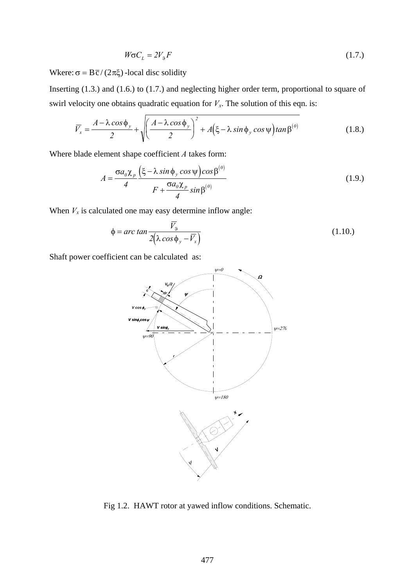$$
W\sigma C_L = 2V_{\rm B}F\tag{1.7.}
$$

Wkere:  $\sigma = B\bar{c}/(2\pi\xi)$ -local disc solidity

Inserting (1.3.) and (1.6.) to (1.7.) and neglecting higher order term, proportional to square of swirl velocity one obtains quadratic equation for  $V_x$ . The solution of this eqn. is:

$$
\overline{V}_x = \frac{A - \lambda \cos \phi_y}{2} + \sqrt{\left(\frac{A - \lambda \cos \phi_y}{2}\right)^2 + A(\xi - \lambda \sin \phi_y \cos \psi) \tan \beta^{(0)}}\tag{1.8.}
$$

Where blade element shape coefficient *A* takes form:

$$
A = \frac{\sigma a_0 \chi_p}{4} \frac{\left(\xi - \lambda \sin \phi_y \cos \psi\right) \cos \beta^{(0)}}{F + \frac{\sigma a_0 \chi_p}{4} \sin \beta^{(0)}}
$$
(1.9.)

When  $V_x$  is calculated one may easy determine inflow angle:

$$
\phi = \arctan \frac{\overline{V}_9}{2(\lambda \cos \phi_y - \overline{V}_x)}
$$
(1.10.)

Shaft power coefficient can be calculated as:



Fig 1.2. HAWT rotor at yawed inflow conditions. Schematic.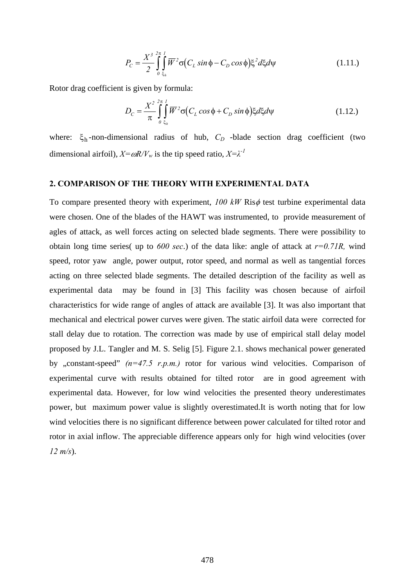$$
P_C = \frac{X^3}{2} \int_{0}^{2\pi} \int_{\xi_h}^{1} \overline{W}^2 \sigma \big( C_L \sin \phi - C_D \cos \phi \big) \xi^2 d\xi d\psi
$$
 (1.11.)

Rotor drag coefficient is given by formula:

$$
D_C = \frac{X^2}{\pi} \int_{0}^{2\pi} \int_{\xi_h}^{1} \overline{W}^2 \sigma \big( C_L \cos \phi + C_D \sin \phi \big) \xi d\xi d\psi
$$
 (1.12.)

where:  $\xi_h$ -non-dimensional radius of hub,  $C_D$  -blade section drag coefficient (two dimensional airfoil),  $X = \omega R/V_w$  is the tip speed ratio,  $X = \lambda^{-1}$ 

## **2. COMPARISON OF THE THEORY WITH EXPERIMENTAL DATA**

To compare presented theory with experiment, *100 kW* Risφ test turbine experimental data were chosen. One of the blades of the HAWT was instrumented, to provide measurement of agles of attack, as well forces acting on selected blade segments. There were possibility to obtain long time series( up to *600 sec*.) of the data like: angle of attack at *r=0.71R,* wind speed, rotor yaw angle, power output, rotor speed, and normal as well as tangential forces acting on three selected blade segments. The detailed description of the facility as well as experimental data may be found in [3] This facility was chosen because of airfoil characteristics for wide range of angles of attack are available [3]. It was also important that mechanical and electrical power curves were given. The static airfoil data were corrected for stall delay due to rotation. The correction was made by use of empirical stall delay model proposed by J.L. Tangler and M. S. Selig [5]. Figure 2.1. shows mechanical power generated by "constant-speed"  $(n=47.5 \ r.p.m.)$  rotor for various wind velocities. Comparison of experimental curve with results obtained for tilted rotor are in good agreement with experimental data. However, for low wind velocities the presented theory underestimates power, but maximum power value is slightly overestimated.It is worth noting that for low wind velocities there is no significant difference between power calculated for tilted rotor and rotor in axial inflow. The appreciable difference appears only for high wind velocities (over *12 m/s*).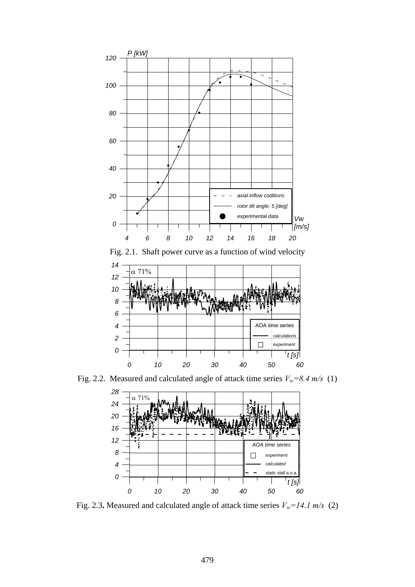

Fig. 2.1. Shaft power curve as a function of wind velocity



Fig. 2.2. Measured and calculated angle of attack time series  $V_w=8.4 \text{ m/s}$  (1)



Fig. 2.3**.** Measured and calculated angle of attack time series  $V_w = 14.1 \text{ m/s}$  (2)